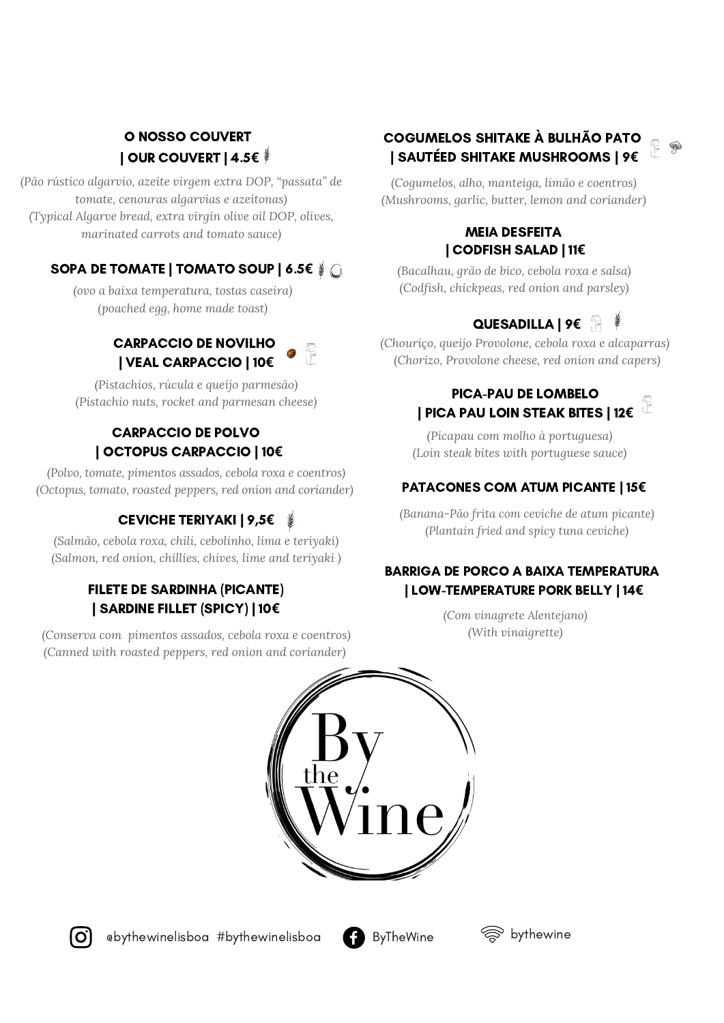### O NOSSO COUVERT | OUR COUVERT | 4.5**€**

*(Pão rústico algarvio, azeite virgem extra DOP, "passata" de tomate, cenouras algarvias e azeitonas) (Typical Algarve bread, extra virgin olive oil DOP, olives, marinated carrots and tomato sauce)*

### SOPA DE TOMATE | TOMATO SOUP | 6.5**€**

*(ovo a baixa temperatura, tostas caseira) (poached egg, home made toast)*

### CARPACCIO DE NOVILHO | VEAL CARPACCIO | 10**€**

*(Pistachios, rúcula e queijo parmesão) (Pistachio nuts, rocket and parmesan cheese)*

### CARPACCIO DE POLVO | OCTOPUS CARPACCIO | 10**€**

*(Polvo, tomate, pimentos assados, cebola roxa e coentros) (Octopus, tomato, roasted peppers, red onion and coriander)*

### CEVICHE TERIYAKI | 9,5**€**

*(Salmão, cebola roxa, chili, cebolinho, lima e teriyaki) (Salmon, red onion, chillies, chives, lime and teriyaki )*

### FILETE DE SARDINHA (PICANTE) | SARDINE FILLET (SPICY) | 10**€**

*(Conserva com pimentos assados, cebola roxa e coentros) (Canned with roasted peppers, red onion and coriander)*

### COGUMELOS SHITAKE À BULHÃO PATO | SAUTÉED SHITAKE MUSHROOMS | 9**€**

*(Cogumelos, alho, manteiga, limão e coentros) (Mushrooms, garlic, butter, lemon and coriander)*

#### MEIA DESFEITA | CODFISH SALAD | 11**€**

*(Bacalhau, grão de bico, cebola roxa e salsa) (Codfish, chickpeas, red onion and parsley)*

## QUESADILLA | 9**€**

*(Chouriço, queijo Provolone, cebola roxa e alcaparras) (Chorizo, Provolone cheese, red onion and capers)*

#### PICA-PAU DE LOMBELO Î | PICA PAU LOIN STEAK BITES | 12**€**

*(Picapau com molho à portuguesa) (Loin steak bites with portuguese sauce)*

### PATACONES COM ATUM PICANTE | 15**€**

*(Banana-Pão frita com ceviche de atum picante) (Plantain fried and spicy tuna ceviche)*

### BARRIGA DE PORCO A BAIXA TEMPERATURA | LOW-TEMPERATURE PORK BELLY | 14**€**

*(Com vinagrete Alentejano) (With vinaigrette)*





@bythewinelisboa #bythewinelisboa ByTheWine



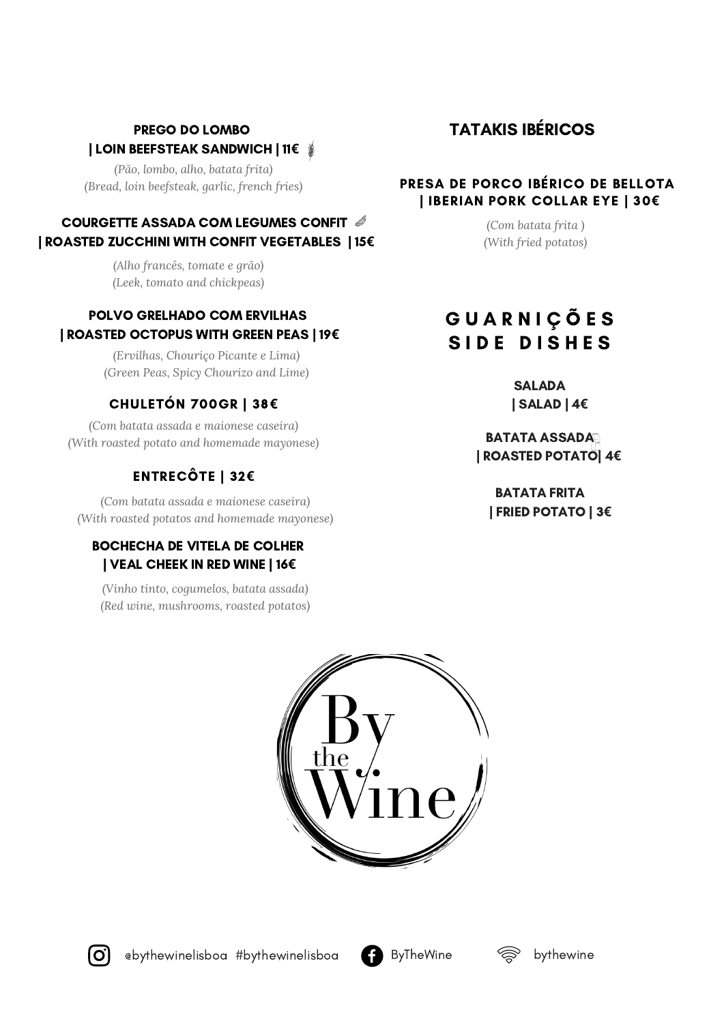### PREGO DO LOMBO | LOIN BEEFSTEAK SANDWICH | 11**€**

*(Pão, lombo, alho, batata frita) (Bread, loin beefsteak, garlic, french fries)*

### COURGETTE ASSADA COM LEGUMES CONFIT | ROASTED ZUCCHINI WITH CONFIT VEGETABLES | 15**€**

*(Alho francês, tomate e grão) (Leek, tomato and chickpeas)*

### POLVO GRELHADO COM ERVILHAS | ROASTED OCTOPUS WITH GREEN PEAS | 19**€**

*(Ervilhas, Chouriço Picante e Lima) (Green Peas, Spicy Chourizo and Lime)*

### CHULETÓN 700GR | 38**€**

*(Com batata assada e maionese caseira) (With roasted potato and homemade mayonese)*

## ENTRECÔTE | 32**€**

*(Com batata assada e maionese caseira) (With roasted potatos and homemade mayonese)*

#### BOCHECHA DE VITELA DE COLHER | VEAL CHEEK IN RED WINE | 16**€**

*(Vinho tinto, cogumelos, batata assada) (Red wine, mushrooms, roasted potatos)*

# TATAKIS IBÉRICOS

#### PRESA DE PORCO IBÉRICO DE BELLOTA | IBERIAN PORK COLLAR EYE | 30**€**

*(Com batata frita ) (With fried potatos)*

# G U A R N I Ç Õ E S SIDE DISHES

**SALADA** | SALAD | 4**€**

BATATA ASSADA | ROASTED POTATO| 4**€**

BATATA FRITA | FRIED POTATO | 3**€**



ebythewinelisboa #bythewinelisboa  $\Box$  ByTheWine  $\otimes$  bythewine



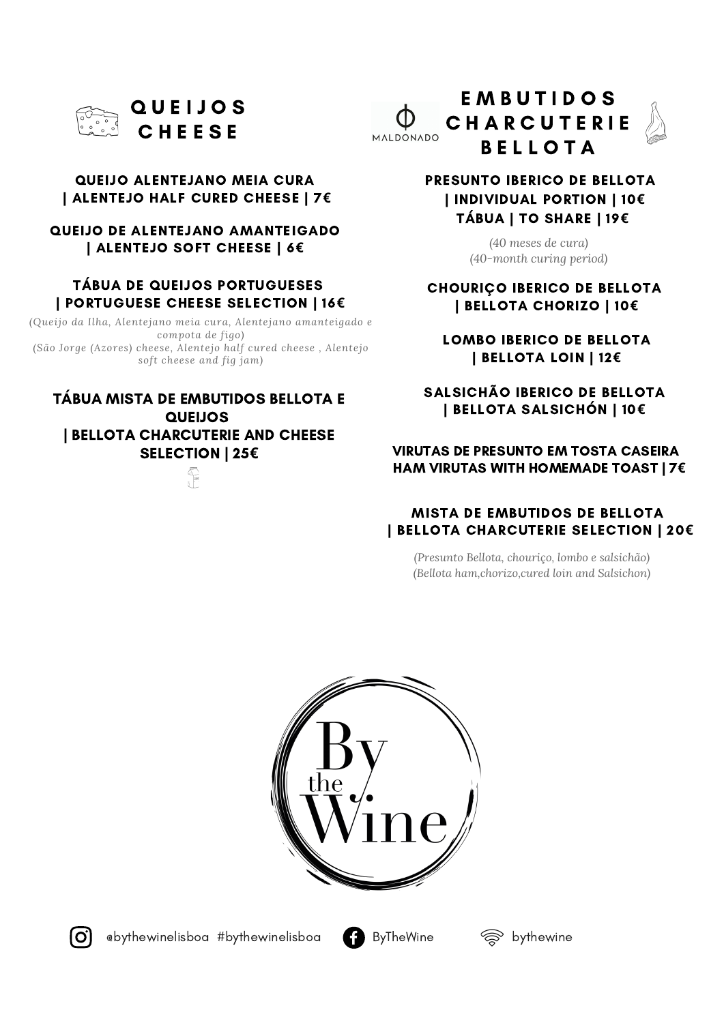

#### QUEIJO ALENTEJANO MEIA CURA | ALENTEJO HALF CURED CHEESE | 7**€**

QUEIJO DE ALENTEJANO AMANTEIGADO | ALENTEJO SOFT CHEESE | 6**€**

#### TÁBUA DE QUEIJOS PORTUGUESES | PORTUGUESE CHEESE SELECTION | 16**€**

*(Queijo da Ilha, Alentejano meia cura, Alentejano amanteigado e compota de figo) (São Jorge (Azores) cheese, Alentejo half cured cheese , Alentejo soft cheese and fig jam)*

#### TÁBUA MISTA DE EMBUTIDOS BELLOTA E QUEIJOS | BELLOTA CHARCUTERIE AND CHEESE SELECTION | 25**€**



E M B U T I D O S CHARCUTERIE MALDONADO **BELLOTA** 



*(40 meses de cura) (40-month curing period)*

CHOURIÇO IBERICO DE BELLOTA | BELLOTA CHORIZO | 10**€**

LOMBO IBERICO DE BELLOTA | BELLOTA LOIN | 12**€**

SALSICHÃO IBERICO DE BELLOTA | BELLOTA SALSICHÓN | 10**€**

#### VIRUTAS DE PRESUNTO EM TOSTA CASEIRA HAM VIRUTAS WITH HOMEMADE TOAST | 7**€**

#### MISTA DE EMBUTIDOS DE BELLOTA | BELLOTA CHARCUTERIE SELECTION | 20**€**

*(Presunto Bellota, chouriço, lombo e salsichão) (Bellota ham,chorizo,cured loin and Salsichon)*